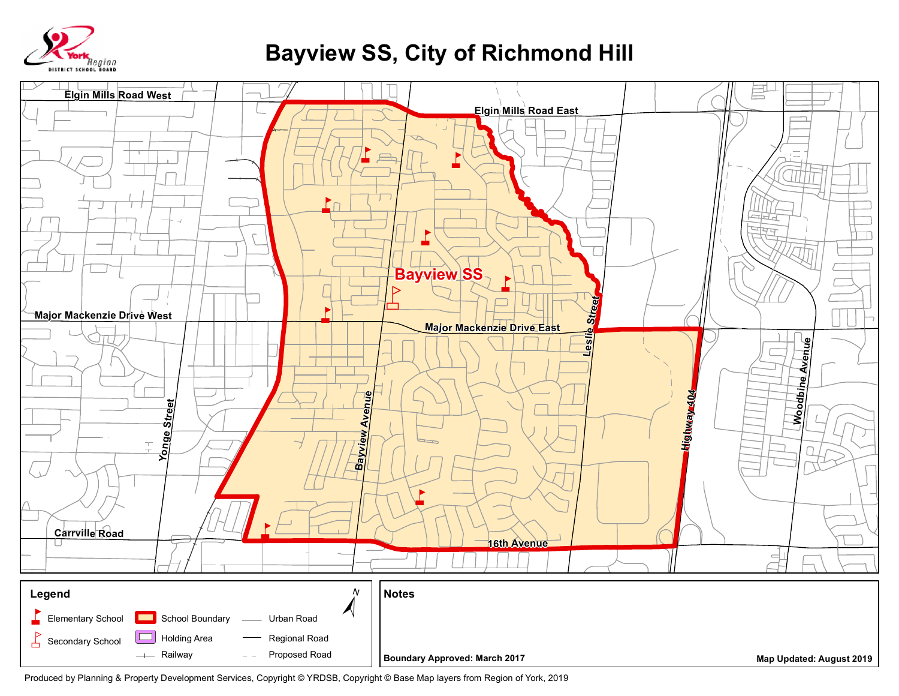

## **Bayview SS, City of Richmond Hill**



Produced by Planning & Property Development Services, Copyright © YRDSB, Copyright © Base Map layers from Region of York, 2019